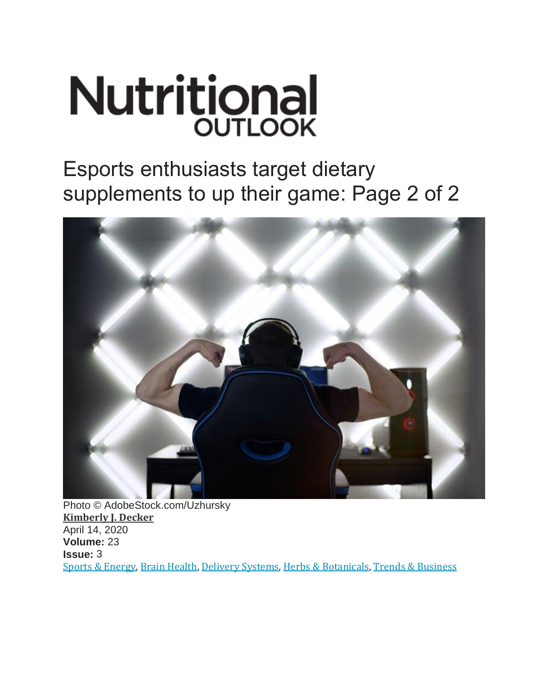# **Nutritional OUTLOOK**

Esports enthusiasts target dietary supplements to up their game: Page 2 of 2



Photo © AdobeStock.com/Uzhursky **[Kimberly J. Decker](https://www.nutritionaloutlook.com/authors/kimberly-j-decker)** April 14, 2020 **Volume:** 23 **Issue:** 3 [Sports & Energy,](https://www.nutritionaloutlook.com/sports-energy) [Brain Health,](https://www.nutritionaloutlook.com/brain-health) [Delivery Systems,](https://www.nutritionaloutlook.com/delivery-systems) [Herbs & Botanicals,](https://www.nutritionaloutlook.com/herbs-botanicals) [Trends & Business](https://www.nutritionaloutlook.com/trends-business)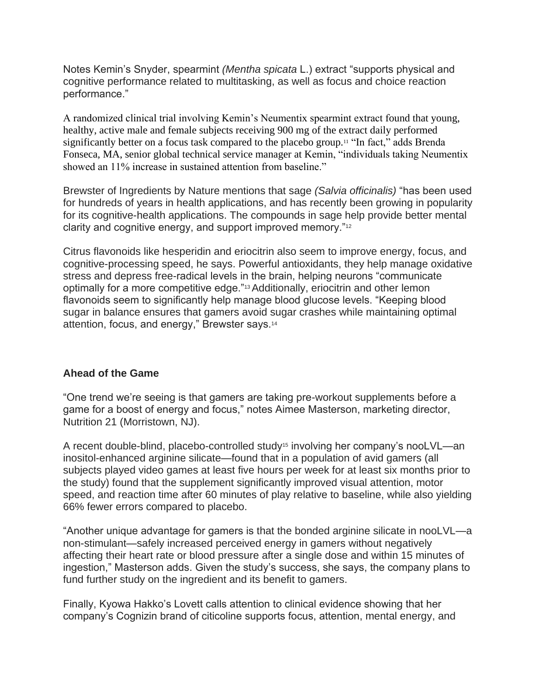Notes Kemin's Snyder, spearmint *(Mentha spicata* L.) extract "supports physical and cognitive performance related to multitasking, as well as focus and choice reaction performance."

A randomized clinical trial involving Kemin's Neumentix spearmint extract found that young, healthy, active male and female subjects receiving 900 mg of the extract daily performed significantly better on a focus task compared to the placebo group.<sup>11</sup> "In fact," adds Brenda Fonseca, MA, senior global technical service manager at Kemin, "individuals taking Neumentix showed an 11% increase in sustained attention from baseline."

Brewster of Ingredients by Nature mentions that sage *(Salvia officinalis)* "has been used for hundreds of years in health applications, and has recently been growing in popularity for its cognitive-health applications. The compounds in sage help provide better mental clarity and cognitive energy, and support improved memory."<sup>12</sup>

Citrus flavonoids like hesperidin and eriocitrin also seem to improve energy, focus, and cognitive-processing speed, he says. Powerful antioxidants, they help manage oxidative stress and depress free-radical levels in the brain, helping neurons "communicate optimally for a more competitive edge."13Additionally, eriocitrin and other lemon flavonoids seem to significantly help manage blood glucose levels. "Keeping blood sugar in balance ensures that gamers avoid sugar crashes while maintaining optimal attention, focus, and energy," Brewster says.<sup>14</sup>

## **Ahead of the Game**

"One trend we're seeing is that gamers are taking pre-workout supplements before a game for a boost of energy and focus," notes Aimee Masterson, marketing director, Nutrition 21 (Morristown, NJ).

A recent double-blind, placebo-controlled study<sup>15</sup> involving her company's nooLVL—an inositol-enhanced arginine silicate—found that in a population of avid gamers (all subjects played video games at least five hours per week for at least six months prior to the study) found that the supplement significantly improved visual attention, motor speed, and reaction time after 60 minutes of play relative to baseline, while also yielding 66% fewer errors compared to placebo.

"Another unique advantage for gamers is that the bonded arginine silicate in nooLVL—a non-stimulant—safely increased perceived energy in gamers without negatively affecting their heart rate or blood pressure after a single dose and within 15 minutes of ingestion," Masterson adds. Given the study's success, she says, the company plans to fund further study on the ingredient and its benefit to gamers.

Finally, Kyowa Hakko's Lovett calls attention to clinical evidence showing that her company's Cognizin brand of citicoline supports focus, attention, mental energy, and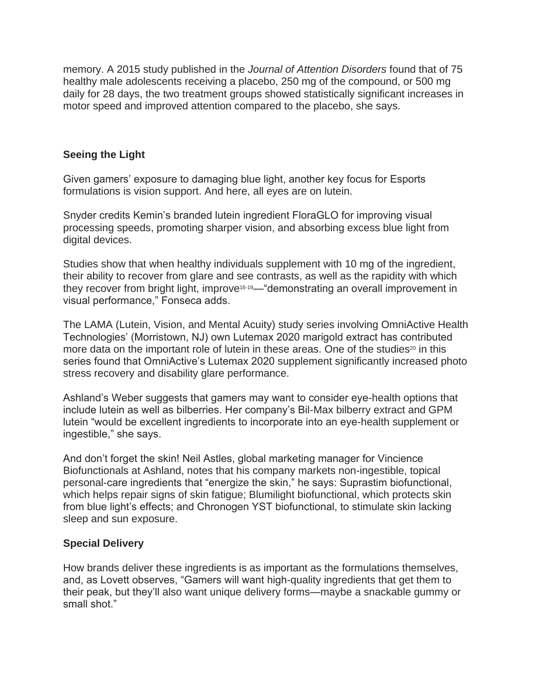memory. A 2015 study published in the *Journal of Attention Disorders* found that of 75 healthy male adolescents receiving a placebo, 250 mg of the compound, or 500 mg daily for 28 days, the two treatment groups showed statistically significant increases in motor speed and improved attention compared to the placebo, she says.

### **Seeing the Light**

Given gamers' exposure to damaging blue light, another key focus for Esports formulations is vision support. And here, all eyes are on lutein.

Snyder credits Kemin's branded lutein ingredient FloraGLO for improving visual processing speeds, promoting sharper vision, and absorbing excess blue light from digital devices.

Studies show that when healthy individuals supplement with 10 mg of the ingredient, their ability to recover from glare and see contrasts, as well as the rapidity with which they recover from bright light, improve<sup>16-19</sup>— "demonstrating an overall improvement in visual performance," Fonseca adds.

The LAMA (Lutein, Vision, and Mental Acuity) study series involving OmniActive Health Technologies' (Morristown, NJ) own Lutemax 2020 marigold extract has contributed more data on the important role of lutein in these areas. One of the studies<sup>20</sup> in this series found that OmniActive's Lutemax 2020 supplement significantly increased photo stress recovery and disability glare performance.

Ashland's Weber suggests that gamers may want to consider eye-health options that include lutein as well as bilberries. Her company's Bil-Max bilberry extract and GPM lutein "would be excellent ingredients to incorporate into an eye-health supplement or ingestible," she says.

And don't forget the skin! Neil Astles, global marketing manager for Vincience Biofunctionals at Ashland, notes that his company markets non-ingestible, topical personal-care ingredients that "energize the skin," he says: Suprastim biofunctional, which helps repair signs of skin fatigue; Blumilight biofunctional, which protects skin from blue light's effects; and Chronogen YST biofunctional, to stimulate skin lacking sleep and sun exposure.

#### **Special Delivery**

How brands deliver these ingredients is as important as the formulations themselves, and, as Lovett observes, "Gamers will want high-quality ingredients that get them to their peak, but they'll also want unique delivery forms—maybe a snackable gummy or small shot."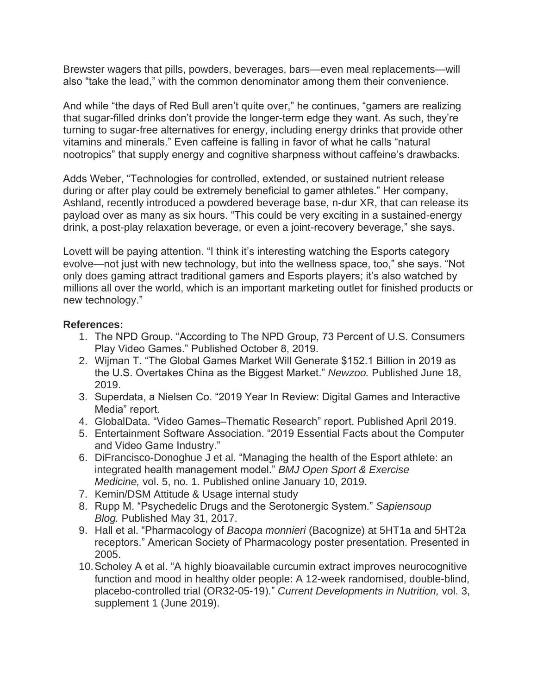Brewster wagers that pills, powders, beverages, bars—even meal replacements—will also "take the lead," with the common denominator among them their convenience.

And while "the days of Red Bull aren't quite over," he continues, "gamers are realizing that sugar-filled drinks don't provide the longer-term edge they want. As such, they're turning to sugar-free alternatives for energy, including energy drinks that provide other vitamins and minerals." Even caffeine is falling in favor of what he calls "natural nootropics" that supply energy and cognitive sharpness without caffeine's drawbacks.

Adds Weber, "Technologies for controlled, extended, or sustained nutrient release during or after play could be extremely beneficial to gamer athletes." Her company, Ashland, recently introduced a powdered beverage base, n-dur XR, that can release its payload over as many as six hours. "This could be very exciting in a sustained-energy drink, a post-play relaxation beverage, or even a joint-recovery beverage," she says.

Lovett will be paying attention. "I think it's interesting watching the Esports category evolve—not just with new technology, but into the wellness space, too," she says. "Not only does gaming attract traditional gamers and Esports players; it's also watched by millions all over the world, which is an important marketing outlet for finished products or new technology."

#### **References:**

- 1. The NPD Group. "According to The NPD Group, 73 Percent of U.S. Consumers Play Video Games." Published October 8, 2019.
- 2. Wijman T. "The Global Games Market Will Generate \$152.1 Billion in 2019 as the U.S. Overtakes China as the Biggest Market." *Newzoo.* Published June 18, 2019.
- 3. Superdata, a Nielsen Co. "2019 Year In Review: Digital Games and Interactive Media" report.
- 4. GlobalData. "Video Games–Thematic Research" report. Published April 2019.
- 5. Entertainment Software Association. "2019 Essential Facts about the Computer and Video Game Industry."
- 6. DiFrancisco-Donoghue J et al. "Managing the health of the Esport athlete: an integrated health management model." *BMJ Open Sport & Exercise Medicine,* vol. 5, no. 1. Published online January 10, 2019.
- 7. Kemin/DSM Attitude & Usage internal study
- 8. Rupp M. "Psychedelic Drugs and the Serotonergic System." *Sapiensoup Blog.* Published May 31, 2017.
- 9. Hall et al. "Pharmacology of *Bacopa monnieri* (Bacognize) at 5HT1a and 5HT2a receptors." American Society of Pharmacology poster presentation. Presented in 2005.
- 10.Scholey A et al. "A highly bioavailable curcumin extract improves neurocognitive function and mood in healthy older people: A 12-week randomised, double-blind, placebo-controlled trial (OR32-05-19)." *Current Developments in Nutrition,* vol. 3, supplement 1 (June 2019).